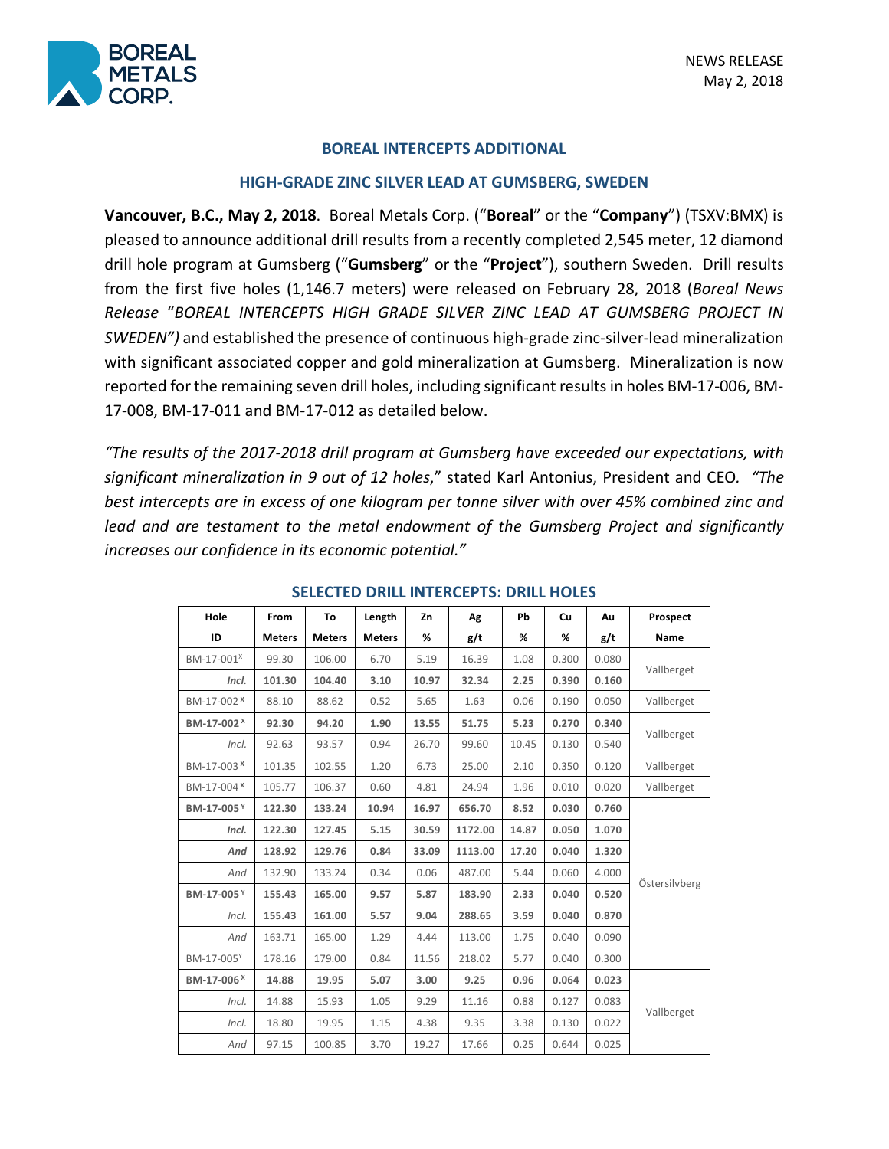

### **BOREAL INTERCEPTS ADDITIONAL**

#### **HIGH-GRADE ZINC SILVER LEAD AT GUMSBERG, SWEDEN**

**Vancouver, B.C., May 2, 2018**. Boreal Metals Corp. ("**Boreal**" or the "**Company**") (TSXV:BMX) is pleased to announce additional drill results from a recently completed 2,545 meter, 12 diamond drill hole program at Gumsberg ("**Gumsberg**" or the "**Project**"), southern Sweden. Drill results from the first five holes (1,146.7 meters) were released on February 28, 2018 (*Boreal News Release* "*BOREAL INTERCEPTS HIGH GRADE SILVER ZINC LEAD AT GUMSBERG PROJECT IN SWEDEN")* and established the presence of continuous high-grade zinc-silver-lead mineralization with significant associated copper and gold mineralization at Gumsberg. Mineralization is now reported for the remaining seven drill holes, including significant results in holes BM-17-006, BM-17-008, BM-17-011 and BM-17-012 as detailed below.

*"The results of the 2017-2018 drill program at Gumsberg have exceeded our expectations, with significant mineralization in 9 out of 12 holes*," stated Karl Antonius, President and CEO*. "The best intercepts are in excess of one kilogram per tonne silver with over 45% combined zinc and lead and are testament to the metal endowment of the Gumsberg Project and significantly increases our confidence in its economic potential."*

| Hole                   | From          | To            | Length        | Zn    | Ag      | Pb    | Cu    | Au    | Prospect      |
|------------------------|---------------|---------------|---------------|-------|---------|-------|-------|-------|---------------|
| ID                     | <b>Meters</b> | <b>Meters</b> | <b>Meters</b> | %     | g/t     | %     | %     | g/t   | <b>Name</b>   |
| BM-17-001 <sup>x</sup> | 99.30         | 106.00        | 6.70          | 5.19  | 16.39   | 1.08  | 0.300 | 0.080 | Vallberget    |
| Incl.                  | 101.30        | 104.40        | 3.10          | 10.97 | 32.34   | 2.25  | 0.390 | 0.160 |               |
| BM-17-002 <sup>X</sup> | 88.10         | 88.62         | 0.52          | 5.65  | 1.63    | 0.06  | 0.190 | 0.050 | Vallberget    |
| BM-17-002 <sup>×</sup> | 92.30         | 94.20         | 1.90          | 13.55 | 51.75   | 5.23  | 0.270 | 0.340 | Vallberget    |
| Incl.                  | 92.63         | 93.57         | 0.94          | 26.70 | 99.60   | 10.45 | 0.130 | 0.540 |               |
| BM-17-003 <sup>x</sup> | 101.35        | 102.55        | 1.20          | 6.73  | 25.00   | 2.10  | 0.350 | 0.120 | Vallberget    |
| BM-17-004 <sup>x</sup> | 105.77        | 106.37        | 0.60          | 4.81  | 24.94   | 1.96  | 0.010 | 0.020 | Vallberget    |
| BM-17-005Y             | 122.30        | 133.24        | 10.94         | 16.97 | 656.70  | 8.52  | 0.030 | 0.760 | Östersilvberg |
| Incl.                  | 122.30        | 127.45        | 5.15          | 30.59 | 1172.00 | 14.87 | 0.050 | 1.070 |               |
| And                    | 128.92        | 129.76        | 0.84          | 33.09 | 1113.00 | 17.20 | 0.040 | 1.320 |               |
| And                    | 132.90        | 133.24        | 0.34          | 0.06  | 487.00  | 5.44  | 0.060 | 4.000 |               |
| BM-17-005Y             | 155.43        | 165.00        | 9.57          | 5.87  | 183.90  | 2.33  | 0.040 | 0.520 |               |
| Incl.                  | 155.43        | 161.00        | 5.57          | 9.04  | 288.65  | 3.59  | 0.040 | 0.870 |               |
| And                    | 163.71        | 165.00        | 1.29          | 4.44  | 113.00  | 1.75  | 0.040 | 0.090 |               |
| BM-17-005Y             | 178.16        | 179.00        | 0.84          | 11.56 | 218.02  | 5.77  | 0.040 | 0.300 |               |
| BM-17-006 <sup>x</sup> | 14.88         | 19.95         | 5.07          | 3.00  | 9.25    | 0.96  | 0.064 | 0.023 | Vallberget    |
| Incl.                  | 14.88         | 15.93         | 1.05          | 9.29  | 11.16   | 0.88  | 0.127 | 0.083 |               |
| Incl.                  | 18.80         | 19.95         | 1.15          | 4.38  | 9.35    | 3.38  | 0.130 | 0.022 |               |
| And                    | 97.15         | 100.85        | 3.70          | 19.27 | 17.66   | 0.25  | 0.644 | 0.025 |               |

#### **SELECTED DRILL INTERCEPTS: DRILL HOLES**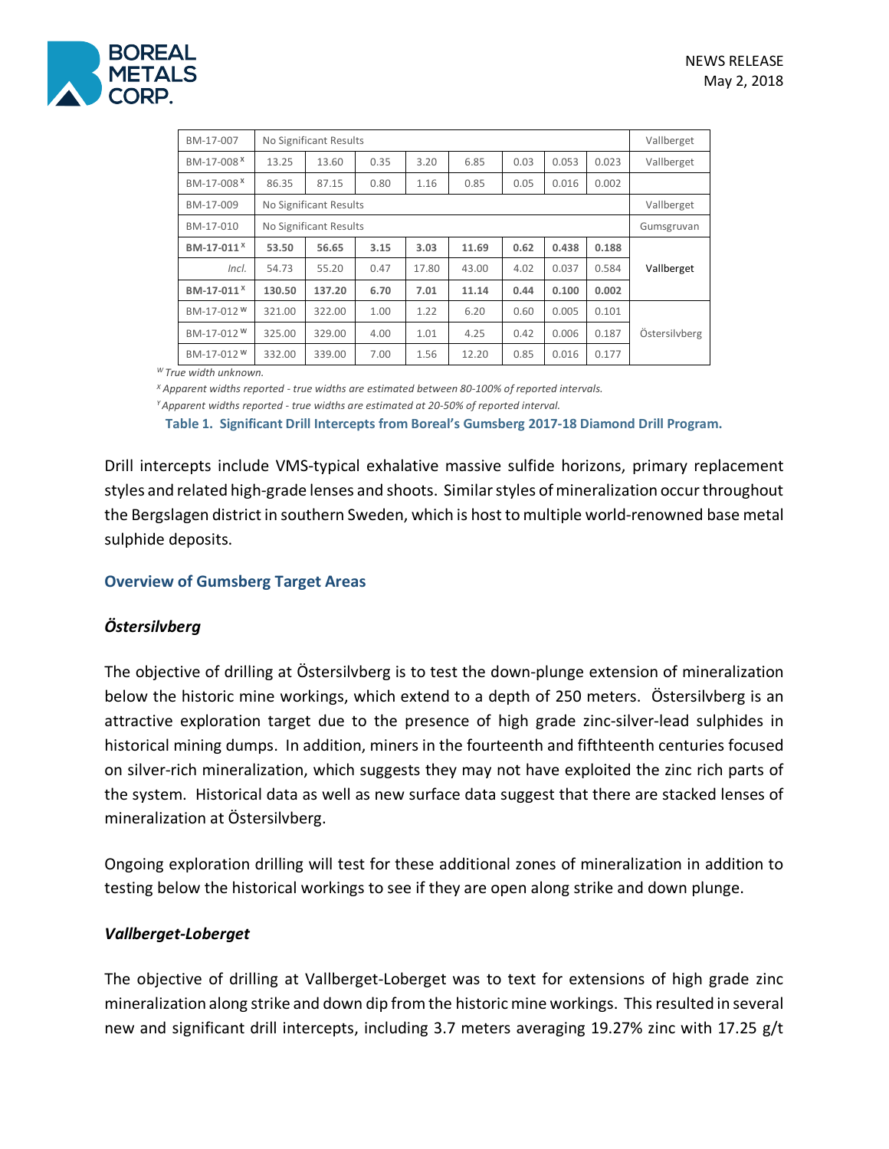

| BM-17-007              | No Significant Results |        |      |       |       |      |       |       | Vallberget    |
|------------------------|------------------------|--------|------|-------|-------|------|-------|-------|---------------|
| BM-17-008 <sup>x</sup> | 13.25                  | 13.60  | 0.35 | 3.20  | 6.85  | 0.03 | 0.053 | 0.023 | Vallberget    |
| BM-17-008 <sup>X</sup> | 86.35                  | 87.15  | 0.80 | 1.16  | 0.85  | 0.05 | 0.016 | 0.002 |               |
| BM-17-009              | No Significant Results |        |      |       |       |      |       |       | Vallberget    |
| BM-17-010              | No Significant Results |        |      |       |       |      |       |       | Gumsgruvan    |
| BM-17-011 <sup>X</sup> | 53.50                  | 56.65  | 3.15 | 3.03  | 11.69 | 0.62 | 0.438 | 0.188 |               |
| Incl.                  | 54.73                  | 55.20  | 0.47 | 17.80 | 43.00 | 4.02 | 0.037 | 0.584 | Vallberget    |
| BM-17-011 <sup>X</sup> | 130.50                 | 137.20 | 6.70 | 7.01  | 11.14 | 0.44 | 0.100 | 0.002 |               |
| BM-17-012 <sup>W</sup> | 321.00                 | 322.00 | 1.00 | 1.22  | 6.20  | 0.60 | 0.005 | 0.101 |               |
| BM-17-012 <sup>W</sup> | 325.00                 | 329.00 | 4.00 | 1.01  | 4.25  | 0.42 | 0.006 | 0.187 | Östersilvberg |
| BM-17-012 <sup>W</sup> | 332.00                 | 339.00 | 7.00 | 1.56  | 12.20 | 0.85 | 0.016 | 0.177 |               |

*W True width unknown.*

*<sup>X</sup> Apparent widths reported - true widths are estimated between 80-100% of reported intervals.*

*Y Apparent widths reported - true widths are estimated at 20-50% of reported interval.*

**Table 1. Significant Drill Intercepts from Boreal's Gumsberg 2017-18 Diamond Drill Program.** 

Drill intercepts include VMS-typical exhalative massive sulfide horizons, primary replacement styles and related high-grade lenses and shoots. Similar styles of mineralization occur throughout the Bergslagen district in southern Sweden, which is host to multiple world-renowned base metal sulphide deposits.

### **Overview of Gumsberg Target Areas**

## *Östersilvberg*

The objective of drilling at Östersilvberg is to test the down-plunge extension of mineralization below the historic mine workings, which extend to a depth of 250 meters. Östersilvberg is an attractive exploration target due to the presence of high grade zinc-silver-lead sulphides in historical mining dumps. In addition, miners in the fourteenth and fifthteenth centuries focused on silver-rich mineralization, which suggests they may not have exploited the zinc rich parts of the system. Historical data as well as new surface data suggest that there are stacked lenses of mineralization at Östersilvberg.

Ongoing exploration drilling will test for these additional zones of mineralization in addition to testing below the historical workings to see if they are open along strike and down plunge.

### *Vallberget-Loberget*

The objective of drilling at Vallberget-Loberget was to text for extensions of high grade zinc mineralization along strike and down dip from the historic mine workings. This resulted in several new and significant drill intercepts, including 3.7 meters averaging 19.27% zinc with 17.25 g/t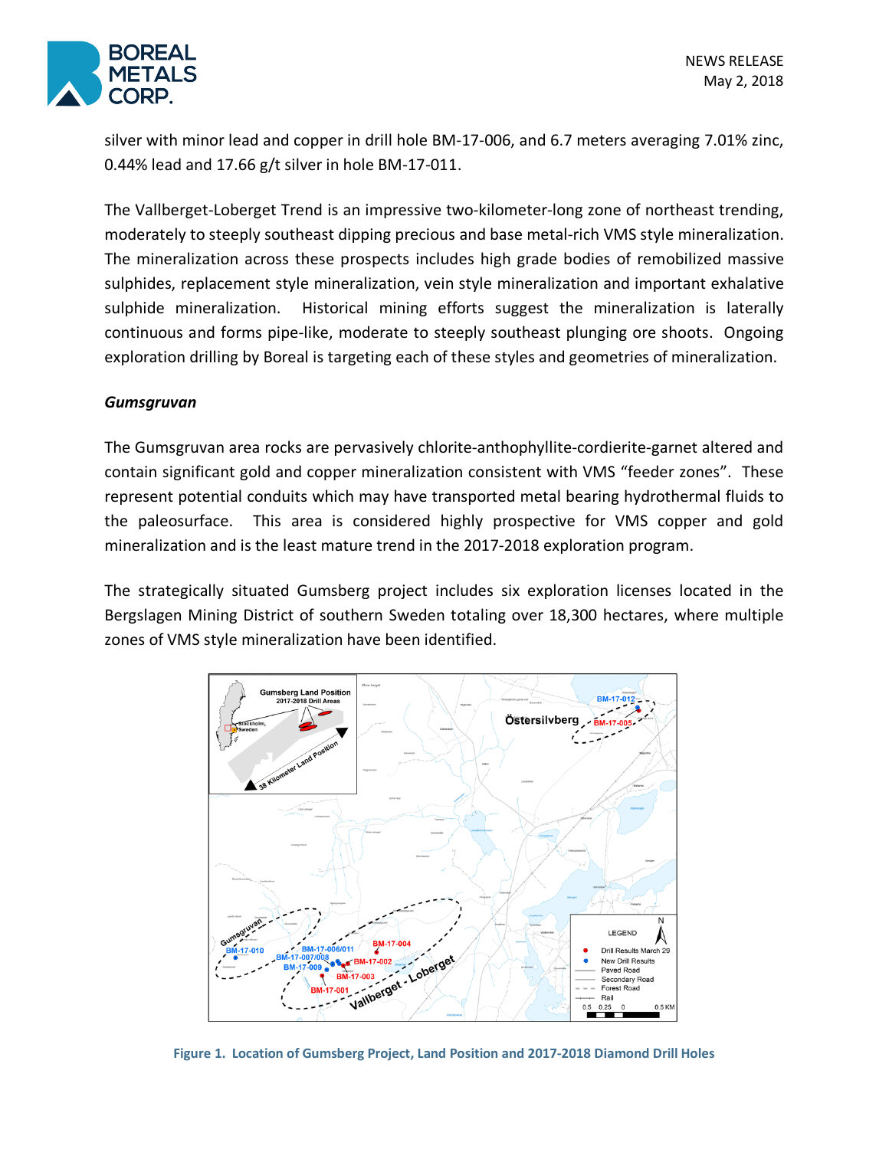

silver with minor lead and copper in drill hole BM-17-006, and 6.7 meters averaging 7.01% zinc, 0.44% lead and 17.66 g/t silver in hole BM-17-011.

The Vallberget-Loberget Trend is an impressive two-kilometer-long zone of northeast trending, moderately to steeply southeast dipping precious and base metal-rich VMS style mineralization. The mineralization across these prospects includes high grade bodies of remobilized massive sulphides, replacement style mineralization, vein style mineralization and important exhalative sulphide mineralization. Historical mining efforts suggest the mineralization is laterally continuous and forms pipe-like, moderate to steeply southeast plunging ore shoots. Ongoing exploration drilling by Boreal is targeting each of these styles and geometries of mineralization.

## *Gumsgruvan*

The Gumsgruvan area rocks are pervasively chlorite-anthophyllite-cordierite-garnet altered and contain significant gold and copper mineralization consistent with VMS "feeder zones". These represent potential conduits which may have transported metal bearing hydrothermal fluids to the paleosurface. This area is considered highly prospective for VMS copper and gold mineralization and is the least mature trend in the 2017-2018 exploration program.

The strategically situated Gumsberg project includes six exploration licenses located in the Bergslagen Mining District of southern Sweden totaling over 18,300 hectares, where multiple zones of VMS style mineralization have been identified.



**Figure 1. Location of Gumsberg Project, Land Position and 2017-2018 Diamond Drill Holes**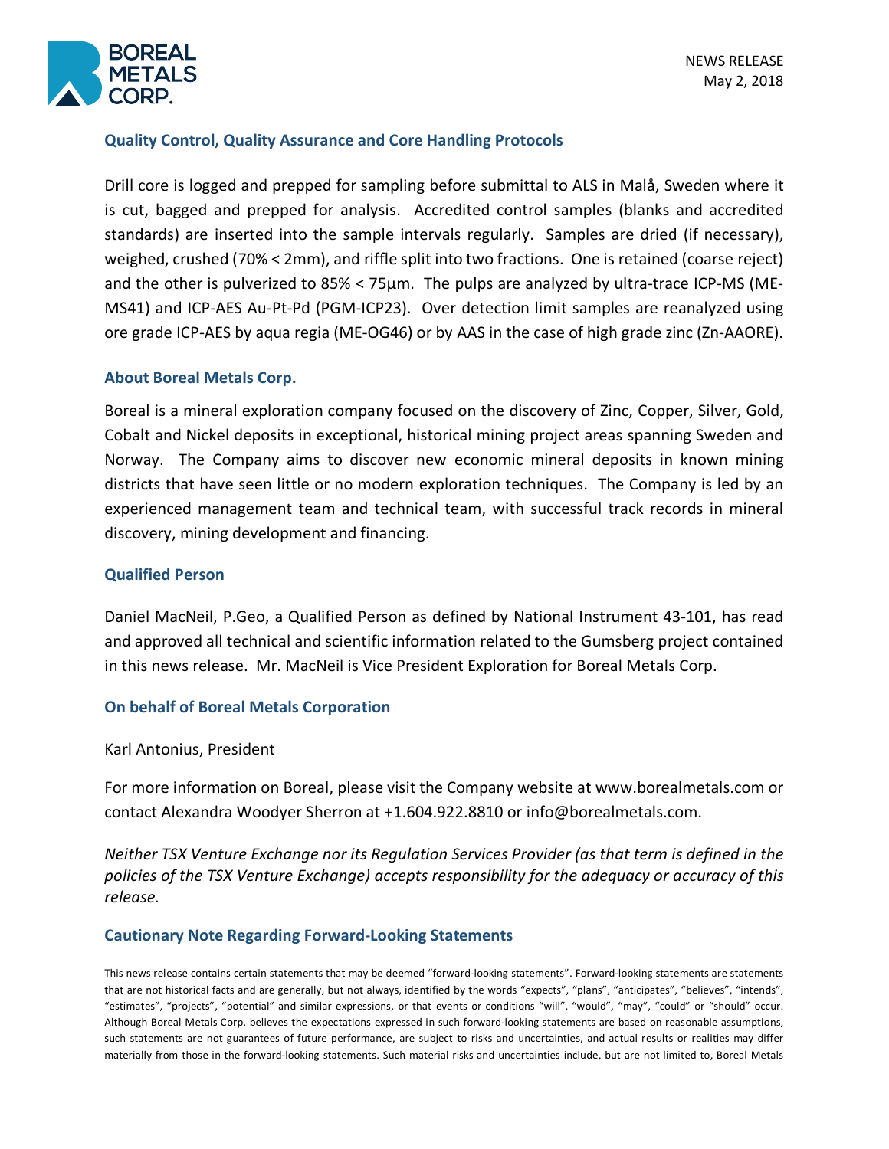

# **Quality Control, Quality Assurance and Core Handling Protocols**

Drill core is logged and prepped for sampling before submittal to ALS in Malå, Sweden where it is cut, bagged and prepped for analysis. Accredited control samples (blanks and accredited standards) are inserted into the sample intervals regularly. Samples are dried (if necessary), weighed, crushed (70% < 2mm), and riffle split into two fractions. One is retained (coarse reject) and the other is pulverized to 85% < 75µm. The pulps are analyzed by ultra-trace ICP-MS (ME-MS41) and ICP-AES Au-Pt-Pd (PGM-ICP23). Over detection limit samples are reanalyzed using ore grade ICP-AES by aqua regia (ME-OG46) or by AAS in the case of high grade zinc (Zn-AAORE).

## **About Boreal Metals Corp.**

Boreal is a mineral exploration company focused on the discovery of Zinc, Copper, Silver, Gold, Cobalt and Nickel deposits in exceptional, historical mining project areas spanning Sweden and Norway. The Company aims to discover new economic mineral deposits in known mining districts that have seen little or no modern exploration techniques. The Company is led by an experienced management team and technical team, with successful track records in mineral discovery, mining development and financing.

### **Qualified Person**

Daniel MacNeil, P.Geo, a Qualified Person as defined by National Instrument 43-101, has read and approved all technical and scientific information related to the Gumsberg project contained in this news release. Mr. MacNeil is Vice President Exploration for Boreal Metals Corp.

### **On behalf of Boreal Metals Corporation**

Karl Antonius, President

For more information on Boreal, please visit the Company website at www.borealmetals.com or contact Alexandra Woodyer Sherron at +1.604.922.8810 or info@borealmetals.com.

*Neither TSX Venture Exchange nor its Regulation Services Provider (as that term is defined in the policies of the TSX Venture Exchange) accepts responsibility for the adequacy or accuracy of this release.* 

### **Cautionary Note Regarding Forward-Looking Statements**

This news release contains certain statements that may be deemed "forward-looking statements". Forward-looking statements are statements that are not historical facts and are generally, but not always, identified by the words "expects", "plans", "anticipates", "believes", "intends", "estimates", "projects", "potential" and similar expressions, or that events or conditions "will", "would", "may", "could" or "should" occur. Although Boreal Metals Corp. believes the expectations expressed in such forward-looking statements are based on reasonable assumptions, such statements are not guarantees of future performance, are subject to risks and uncertainties, and actual results or realities may differ materially from those in the forward-looking statements. Such material risks and uncertainties include, but are not limited to, Boreal Metals